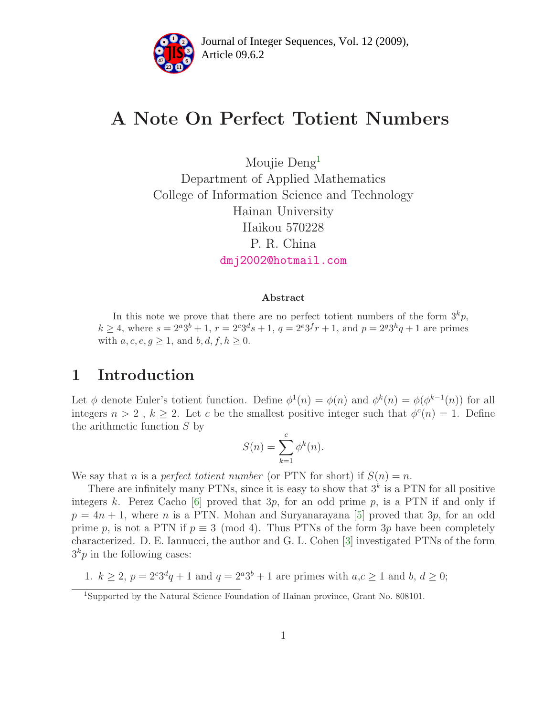

# A Note On Perfect Totient Numbers

Moujie Deng<sup>[1](#page-0-0)</sup> Department of Applied Mathematics College of Information Science and Technology Hainan University Haikou 570228 P. R. China [dmj2002@hotmail.com](mailto:dmj2002@hotmail.com)

#### Abstract

In this note we prove that there are no perfect totient numbers of the form  $3^k p$ ,  $k \geq 4$ , where  $s = 2^{a}3^{b} + 1$ ,  $r = 2^{c}3^{d}s + 1$ ,  $q = 2^{e}3^{f}r + 1$ , and  $p = 2^{g}3^{h}q + 1$  are primes with  $a, c, e, g \geq 1$ , and  $b, d, f, h \geq 0$ .

## 1 Introduction

Let  $\phi$  denote Euler's totient function. Define  $\phi^1(n) = \phi(n)$  and  $\phi^k(n) = \phi(\phi^{k-1}(n))$  for all integers  $n > 2$ ,  $k \ge 2$ . Let c be the smallest positive integer such that  $\phi^c(n) = 1$ . Define the arithmetic function S by

$$
S(n) = \sum_{k=1}^{c} \phi^k(n).
$$

We say that n is a perfect totient number (or PTN for short) if  $S(n) = n$ .

There are infinitely many PTNs, since it is easy to show that  $3<sup>k</sup>$  is a PTN for all positive integers k. Perez Cacho  $[6]$  proved that  $3p$ , for an odd prime p, is a PTN if and only if  $p = 4n + 1$ , where n is a PTN. Mohan and Suryanarayana [\[5\]](#page-6-1) proved that 3p, for an odd prime p, is not a PTN if  $p \equiv 3 \pmod{4}$ . Thus PTNs of the form 3p have been completely characterized. D. E. Iannucci, the author and G. L. Cohen [\[3\]](#page-6-2) investigated PTNs of the form  $3<sup>k</sup>p$  in the following cases:

1.  $k \ge 2$ ,  $p = 2^{c}3^{d}q + 1$  and  $q = 2^{a}3^{b} + 1$  are primes with  $a, c \ge 1$  and  $b, d \ge 0$ ;

<span id="page-0-0"></span><sup>1</sup>Supported by the Natural Science Foundation of Hainan province, Grant No. 808101.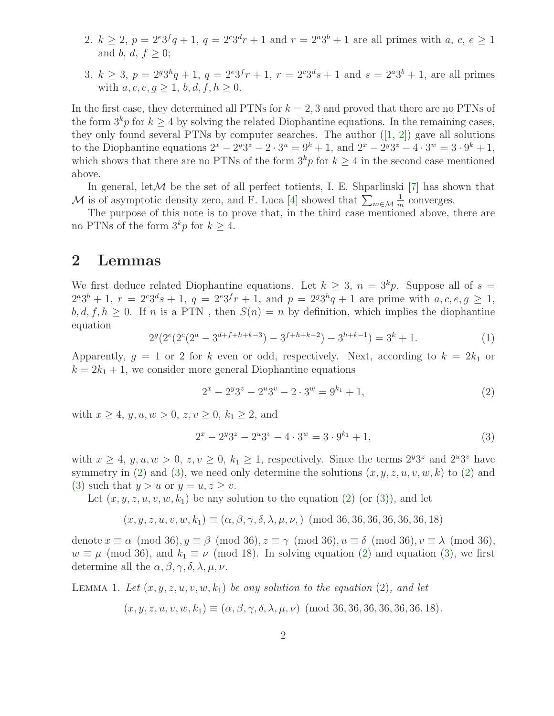- 2.  $k \geq 2$ ,  $p = 2^{e}3^{f}q + 1$ ,  $q = 2^{e}3^{d}r + 1$  and  $r = 2^{a}3^{b} + 1$  are all primes with  $a, c, e \geq 1$ and b, d,  $f > 0$ ;
- 3.  $k \geq 3$ ,  $p = 2^{g}3^{h}q + 1$ ,  $q = 2^{e}3^{f}r + 1$ ,  $r = 2^{e}3^{d}s + 1$  and  $s = 2^{a}3^{b} + 1$ , are all primes with  $a, c, e, q > 1, b, d, f, h > 0$ .

In the first case, they determined all PTNs for  $k = 2, 3$  and proved that there are no PTNs of the form  $3<sup>k</sup>p$  for  $k \geq 4$  by solving the related Diophantine equations. In the remaining cases, they only found several PTNs by computer searches. The author  $([1, 2])$  $([1, 2])$  $([1, 2])$  $([1, 2])$  $([1, 2])$  gave all solutions to the Diophantine equations  $2^x - 2^y 3^z - 2 \cdot 3^u = 9^k + 1$ , and  $2^x - 2^y 3^z - 4 \cdot 3^w = 3 \cdot 9^k + 1$ , which shows that there are no PTNs of the form  $3<sup>k</sup>p$  for  $k > 4$  in the second case mentioned above.

In general, let  $M$  be the set of all perfect totients, I. E. Shparlinski [\[7\]](#page-6-5) has shown that M is of asymptotic density zero, and F. Luca [\[4\]](#page-6-6) showed that  $\sum_{m\in\mathcal{M}}\frac{1}{m}$  $\frac{1}{m}$  converges.

The purpose of this note is to prove that, in the third case mentioned above, there are no PTNs of the form  $3^k p$  for  $k \geq 4$ .

### 2 Lemmas

<span id="page-1-2"></span>We first deduce related Diophantine equations. Let  $k \geq 3$ ,  $n = 3<sup>k</sup>p$ . Suppose all of  $s =$  $2^{a}3^{b}+1$ ,  $r = 2^{c}3^{d}s+1$ ,  $q = 2^{e}3^{f}r+1$ , and  $p = 2^{g}3^{h}q+1$  are prime with  $a, c, e, g \ge 1$ ,  $b, d, f, h \geq 0$ . If n is a PTN, then  $S(n) = n$  by definition, which implies the diophantine equation

$$
2g(2e(2e(2a - 3d+f+h+k-3) - 3f+h+k-2) - 3h+k-1) = 3k + 1.
$$
 (1)

Apparently,  $g = 1$  or 2 for k even or odd, respectively. Next, according to  $k = 2k_1$  or  $k = 2k_1 + 1$ , we consider more general Diophantine equations

<span id="page-1-1"></span><span id="page-1-0"></span>
$$
2x - 2y3z - 2u3v - 2 \cdot 3w = 9k1 + 1,
$$
\n(2)

with  $x > 4$ ,  $y, u, w > 0$ ,  $z, v > 0$ ,  $k_1 > 2$ , and

$$
2x - 2y3z - 2u3v - 4 \cdot 3w = 3 \cdot 9k + 1,
$$
\n(3)

with  $x \ge 4$ ,  $y, u, w > 0$ ,  $z, v \ge 0$ ,  $k_1 \ge 1$ , respectively. Since the terms  $2^y 3^z$  and  $2^u 3^v$  have symmetry in [\(2\)](#page-1-0) and [\(3\)](#page-1-1), we need only determine the solutions  $(x, y, z, u, v, w, k)$  to (2) and [\(3\)](#page-1-1) such that  $y > u$  or  $y = u, z > v$ .

Let  $(x, y, z, u, v, w, k_1)$  be any solution to the equation  $(2)$  (or  $(3)$ ), and let

$$
(x, y, z, u, v, w, k_1) \equiv (\alpha, \beta, \gamma, \delta, \lambda, \mu, \nu)
$$
 (mod 36, 36, 36, 36, 36, 36, 18)

denote  $x \equiv \alpha \pmod{36}$ ,  $y \equiv \beta \pmod{36}$ ,  $z \equiv \gamma \pmod{36}$ ,  $u \equiv \delta \pmod{36}$ ,  $v \equiv \lambda \pmod{36}$ ,  $w \equiv \mu \pmod{36}$ , and  $k_1 \equiv \nu \pmod{18}$ . In solving equation [\(2\)](#page-1-0) and equation [\(3\)](#page-1-1), we first determine all the  $\alpha$ ,  $\beta$ ,  $\gamma$ ,  $\delta$ ,  $\lambda$ ,  $\mu$ ,  $\nu$ .

LEMMA 1. Let  $(x, y, z, u, v, w, k_1)$  be any solution to the equation (2), and let

 $(x, y, z, u, v, w, k_1) \equiv (\alpha, \beta, \gamma, \delta, \lambda, \mu, \nu) \pmod{36, 36, 36, 36, 36, 18}.$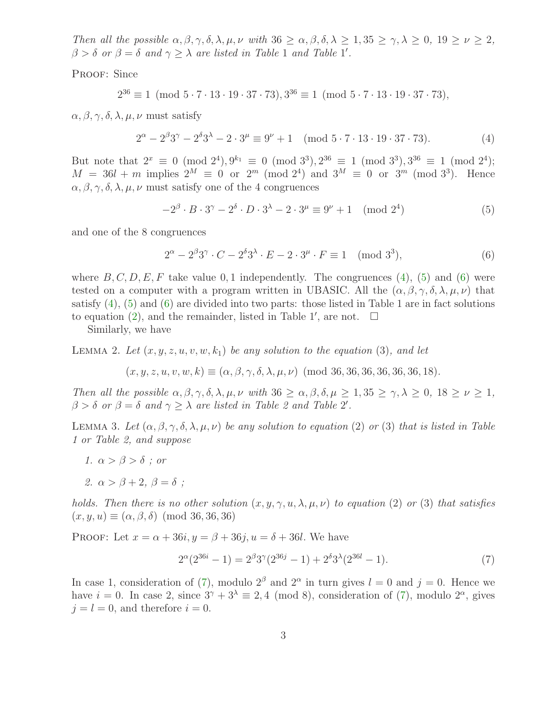Then all the possible  $\alpha, \beta, \gamma, \delta, \lambda, \mu, \nu$  with  $36 \geq \alpha, \beta, \delta, \lambda \geq 1, 35 \geq \gamma, \lambda \geq 0, 19 \geq \nu \geq 2$ ,  $\beta > \delta$  or  $\beta = \delta$  and  $\gamma \geq \lambda$  are listed in Table 1 and Table 1'.

PROOF: Since

<span id="page-2-0"></span>
$$
2^{36} \equiv 1 \pmod{5 \cdot 7 \cdot 13 \cdot 19 \cdot 37 \cdot 73}, 3^{36} \equiv 1 \pmod{5 \cdot 7 \cdot 13 \cdot 19 \cdot 37 \cdot 73},
$$

 $\alpha, \beta, \gamma, \delta, \lambda, \mu, \nu$  must satisfy

$$
2^{\alpha} - 2^{\beta}3^{\gamma} - 2^{\delta}3^{\lambda} - 2 \cdot 3^{\mu} \equiv 9^{\nu} + 1 \pmod{5 \cdot 7 \cdot 13 \cdot 19 \cdot 37 \cdot 73}.
$$
 (4)

But note that  $2^x \equiv 0 \pmod{2^4}$ ,  $9^{k_1} \equiv 0 \pmod{3^3}$ ,  $2^{36} \equiv 1 \pmod{3^3}$ ,  $3^{36} \equiv 1 \pmod{2^4}$ ;  $M = 36l + m$  implies  $2^M \equiv 0$  or  $2^m \pmod{2^4}$  and  $3^M \equiv 0$  or  $3^m \pmod{3^3}$ . Hence  $\alpha, \beta, \gamma, \delta, \lambda, \mu, \nu$  must satisfy one of the 4 congruences

<span id="page-2-2"></span><span id="page-2-1"></span>
$$
-2^{\beta} \cdot B \cdot 3^{\gamma} - 2^{\delta} \cdot D \cdot 3^{\lambda} - 2 \cdot 3^{\mu} \equiv 9^{\nu} + 1 \pmod{2^{4}}
$$
(5)

and one of the 8 congruences

$$
2^{\alpha} - 2^{\beta} 3^{\gamma} \cdot C - 2^{\delta} 3^{\lambda} \cdot E - 2 \cdot 3^{\mu} \cdot F \equiv 1 \pmod{3^3},\tag{6}
$$

where  $B, C, D, E, F$  take value 0, 1 independently. The congruences [\(4\)](#page-2-0), [\(5\)](#page-2-1) and [\(6\)](#page-2-2) were tested on a computer with a program written in UBASIC. All the  $(\alpha, \beta, \gamma, \delta, \lambda, \mu, \nu)$  that satisfy  $(4)$ ,  $(5)$  and  $(6)$  are divided into two parts: those listed in Table 1 are in fact solutions to equation [\(2\)](#page-1-0), and the remainder, listed in Table 1', are not.  $\square$ 

Similarly, we have

LEMMA 2. Let  $(x, y, z, u, v, w, k_1)$  be any solution to the equation (3), and let

$$
(x, y, z, u, v, w, k) \equiv (\alpha, \beta, \gamma, \delta, \lambda, \mu, \nu)
$$
 (mod 36, 36, 36, 36, 36, 36, 18).

Then all the possible  $\alpha, \beta, \gamma, \delta, \lambda, \mu, \nu$  with  $36 \geq \alpha, \beta, \delta, \mu \geq 1, 35 \geq \gamma, \lambda \geq 0, 18 \geq \nu \geq 1,$  $\beta > \delta$  or  $\beta = \delta$  and  $\gamma \geq \lambda$  are listed in Table 2 and Table 2'.

LEMMA 3. Let  $(\alpha, \beta, \gamma, \delta, \lambda, \mu, \nu)$  be any solution to equation (2) or (3) that is listed in Table 1 or Table 2, and suppose

- 1.  $\alpha > \beta > \delta$ ; or
- 2.  $\alpha > \beta + 2$ ,  $\beta = \delta$ ;

holds. Then there is no other solution  $(x, y, \gamma, u, \lambda, \mu, \nu)$  to equation (2) or (3) that satisfies  $(x, y, u) \equiv (\alpha, \beta, \delta) \pmod{36, 36, 36}$ 

PROOF: Let  $x = \alpha + 36i$ ,  $y = \beta + 36i$ ,  $u = \delta + 36l$ . We have

<span id="page-2-3"></span>
$$
2^{\alpha}(2^{36i} - 1) = 2^{\beta}3^{\gamma}(2^{36j} - 1) + 2^{\delta}3^{\lambda}(2^{36l} - 1).
$$
\n(7)

In case 1, consideration of [\(7\)](#page-2-3), modulo  $2^{\beta}$  and  $2^{\alpha}$  in turn gives  $l = 0$  and  $j = 0$ . Hence we have  $i = 0$ . In case 2, since  $3^{\gamma} + 3^{\lambda} \equiv 2, 4 \pmod{8}$ , consideration of [\(7\)](#page-2-3), modulo  $2^{\alpha}$ , gives  $j = l = 0$ , and therefore  $i = 0$ .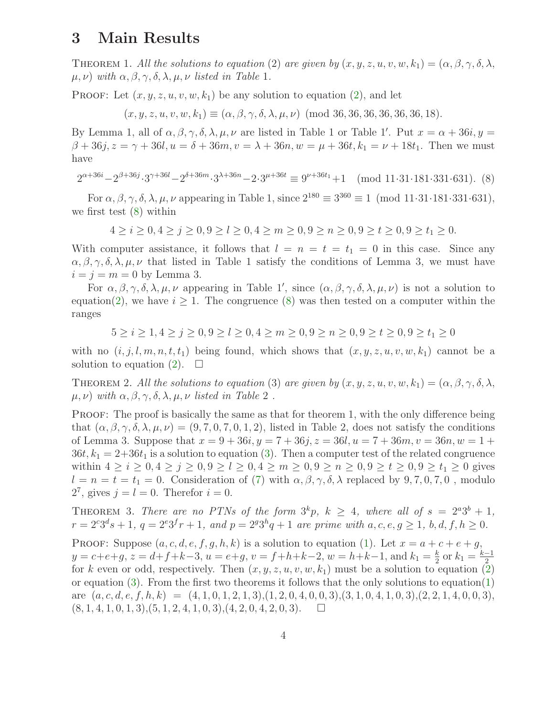# 3 Main Results

THEOREM 1. All the solutions to equation (2) are given by  $(x, y, z, u, v, w, k_1) = (\alpha, \beta, \gamma, \delta, \lambda,$  $\mu, \nu$ ) with  $\alpha, \beta, \gamma, \delta, \lambda, \mu, \nu$  listed in Table 1.

**PROOF:** Let  $(x, y, z, u, v, w, k_1)$  be any solution to equation  $(2)$ , and let

 $(x, y, z, u, v, w, k_1) \equiv (\alpha, \beta, \gamma, \delta, \lambda, \mu, \nu) \pmod{36, 36, 36, 36, 36, 18}.$ 

<span id="page-3-0"></span>By Lemma 1, all of  $\alpha, \beta, \gamma, \delta, \lambda, \mu, \nu$  are listed in Table 1 or Table 1'. Put  $x = \alpha + 36i, y =$  $\beta + 36j$ ,  $z = \gamma + 36l$ ,  $u = \delta + 36m$ ,  $v = \lambda + 36n$ ,  $w = \mu + 36t$ ,  $k_1 = \nu + 18t_1$ . Then we must have

$$
2^{\alpha+36i} - 2^{\beta+36j} \cdot 3^{\gamma+36l} - 2^{\delta+36m} \cdot 3^{\lambda+36n} - 2 \cdot 3^{\mu+36t} \equiv 9^{\nu+36t_1} + 1 \pmod{11 \cdot 31 \cdot 181 \cdot 331 \cdot 631}.
$$
 (8)

For  $\alpha$ ,  $\beta$ ,  $\gamma$ ,  $\delta$ ,  $\lambda$ ,  $\mu$ ,  $\nu$  appearing in Table 1, since  $2^{180} \equiv 3^{360} \equiv 1 \pmod{11 \cdot 31 \cdot 181 \cdot 331 \cdot 631}$ , we first test [\(8\)](#page-3-0) within

 $4 > i > 0, 4 > j > 0, 9 > l > 0, 4 > m > 0, 9 > n > 0, 9 > t > 0, 9 > t_1 > 0.$ 

With computer assistance, it follows that  $l = n = t = t_1 = 0$  in this case. Since any  $\alpha, \beta, \gamma, \delta, \lambda, \mu, \nu$  that listed in Table 1 satisfy the conditions of Lemma 3, we must have  $i = j = m = 0$  by Lemma 3.

For  $\alpha, \beta, \gamma, \delta, \lambda, \mu, \nu$  appearing in Table 1', since  $(\alpha, \beta, \gamma, \delta, \lambda, \mu, \nu)$  is not a solution to equation[\(2\)](#page-1-0), we have  $i \geq 1$ . The congruence [\(8\)](#page-3-0) was then tested on a computer within the ranges

$$
5 \ge i \ge 1, 4 \ge j \ge 0, 9 \ge l \ge 0, 4 \ge m \ge 0, 9 \ge n \ge 0, 9 \ge t \ge 0, 9 \ge t_1 \ge 0
$$

with no  $(i, j, l, m, n, t, t_1)$  being found, which shows that  $(x, y, z, u, v, w, k_1)$  cannot be a solution to equation [\(2\)](#page-1-0).  $\Box$ 

THEOREM 2. All the solutions to equation (3) are given by  $(x, y, z, u, v, w, k_1) = (\alpha, \beta, \gamma, \delta, \lambda,$  $\mu, \nu$ ) with  $\alpha, \beta, \gamma, \delta, \lambda, \mu, \nu$  listed in Table 2.

PROOF: The proof is basically the same as that for theorem 1, with the only difference being that  $(\alpha, \beta, \gamma, \delta, \lambda, \mu, \nu) = (9, 7, 0, 7, 0, 1, 2)$ , listed in Table 2, does not satisfy the conditions of Lemma 3. Suppose that  $x = 9 + 36i$ ,  $y = 7 + 36j$ ,  $z = 36l$ ,  $u = 7 + 36m$ ,  $v = 36n$ ,  $w = 1 +$  $36t, k_1 = 2+36t_1$  is a solution to equation [\(3\)](#page-1-1). Then a computer test of the related congruence within  $4 \ge i \ge 0, 4 \ge j \ge 0, 9 \ge l \ge 0, 4 \ge m \ge 0, 9 \ge n \ge 0, 9 \ge t \ge 0, 9 \ge t_1 \ge 0$  gives  $l = n = t = t_1 = 0$ . Consideration of [\(7\)](#page-2-3) with  $\alpha, \beta, \gamma, \delta, \lambda$  replaced by 9, 7, 0, 7, 0, modulo  $2^7$ , gives  $j = l = 0$ . Therefor  $i = 0$ .

THEOREM 3. There are no PTNs of the form  $3^k p$ ,  $k \geq 4$ , where all of  $s = 2^a 3^b + 1$ ,  $r = 2^{c}3^{d}s + 1, q = 2^{e}3^{f}r + 1, and p = 2^{g}3^{h}q + 1$  are prime with  $a, c, e, g \ge 1, b, d, f, h \ge 0$ .

PROOF: Suppose  $(a, c, d, e, f, g, h, k)$  is a solution to equation [\(1\)](#page-1-2). Let  $x = a + c + e + g$ ,  $y = c + e + g$ ,  $z = d + f + k - 3$ ,  $u = e + g$ ,  $v = f + h + k - 2$ ,  $w = h + k - 1$ , and  $k_1 = \frac{k}{2}$  $\frac{k}{2}$  or  $k_1 = \frac{k-1}{2}$ 2 for k even or odd, respectively. Then  $(x, y, z, u, v, w, k_1)$  must be a solution to equation [\(2\)](#page-1-0) or equation  $(3)$ . From the first two theorems it follows that the only solutions to equation $(1)$ are  $(a, c, d, e, f, h, k) = (4, 1, 0, 1, 2, 1, 3), (1, 2, 0, 4, 0, 0, 3), (3, 1, 0, 4, 1, 0, 3), (2, 2, 1, 4, 0, 0, 3),$  $(8, 1, 4, 1, 0, 1, 3), (5, 1, 2, 4, 1, 0, 3), (4, 2, 0, 4, 2, 0, 3). \square$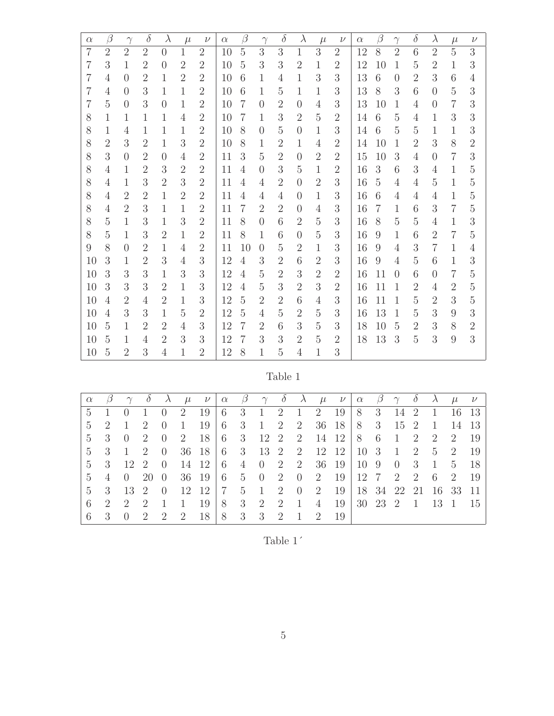| $\alpha$       | $\beta$        | $\gamma$       | $\delta$       | $\lambda$      | $\mu$          | $\nu$            | $\alpha$ | $\beta$        | $\gamma$       | $\delta$       | $\lambda$      | $\mu$          | $\nu$          | $\alpha$ | $\beta$          | $\gamma$       | $\delta$       | $\lambda$      | $\mu$          | $\nu$          |
|----------------|----------------|----------------|----------------|----------------|----------------|------------------|----------|----------------|----------------|----------------|----------------|----------------|----------------|----------|------------------|----------------|----------------|----------------|----------------|----------------|
| $\overline{7}$ | $\overline{2}$ | $\overline{2}$ | $\overline{2}$ | $\overline{0}$ | $\mathbf{1}$   | $\overline{2}$   | 10       | $\overline{5}$ | 3              | 3              | $\mathbf{1}$   | 3              | $\overline{2}$ | 12       | 8                | $\overline{2}$ | 6              | $\overline{2}$ | $\overline{5}$ | 3              |
| $\overline{7}$ | 3              | 1              | $\overline{2}$ | $\overline{0}$ | $\overline{2}$ | $\overline{2}$   | 10       | $\overline{5}$ | 3              | 3              | $\overline{2}$ | $\mathbf{1}$   | $\overline{2}$ | 12       | 10               | $\mathbf{1}$   | $\overline{5}$ | $\overline{2}$ | $\mathbf{1}$   | 3              |
| $\overline{7}$ | $\overline{4}$ | $\theta$       | $\overline{2}$ | $\mathbf{1}$   | $\overline{2}$ | $\overline{2}$   | 10       | 6              | $\mathbf{1}$   | $\overline{4}$ | $\mathbf{1}$   | 3              | 3              | 13       | 6                | $\theta$       | $\overline{2}$ | 3              | $6\,$          | 4              |
| $\overline{7}$ | $\overline{4}$ | $\overline{0}$ | 3              | $\mathbf{1}$   | $\mathbf{1}$   | $\overline{2}$   | 10       | 6              | $\mathbf{1}$   | $\overline{5}$ | $\mathbf{1}$   | 1              | 3              | 13       | 8                | 3              | $\sqrt{6}$     | $\theta$       | $\overline{5}$ | 3              |
| $\overline{7}$ | 5              | $\overline{0}$ | 3              | $\overline{0}$ | $\mathbf{1}$   | $\overline{2}$   | 10       | $\overline{7}$ | $\overline{0}$ | $\overline{2}$ | $\overline{0}$ | $\overline{4}$ | 3              | 13       | 10               | $\mathbf{1}$   | $\overline{4}$ | $\overline{0}$ | $\overline{7}$ | 3              |
| 8              | $\mathbf{1}$   | $\mathbf{1}$   | 1              | $\mathbf{1}$   | $\overline{4}$ | $\overline{2}$   | 10       | $\overline{7}$ | $\mathbf{1}$   | 3              | $\overline{2}$ | $\overline{5}$ | $\overline{2}$ | 14       | $\sqrt{6}$       | $\overline{5}$ | $\overline{4}$ | $\mathbf{1}$   | 3              | 3              |
| 8              | $\mathbf{1}$   | 4              | 1              | $\mathbf{1}$   | $\mathbf{1}$   | $\overline{2}$   | 10       | 8              | $\overline{0}$ | $\overline{5}$ | $\overline{0}$ | $\mathbf{1}$   | 3              | 14       | $\,6$            | $\overline{5}$ | 5              | $\mathbf{1}$   | $\mathbf{1}$   | 3              |
| 8              | $\overline{2}$ | 3              | $\overline{2}$ | $\mathbf{1}$   | 3              | $\overline{2}$   | 10       | 8              | $\mathbf{1}$   | $\overline{2}$ | $\mathbf{1}$   | 4              | $\overline{2}$ | 14       | 10               | 1              | $\overline{2}$ | 3              | 8              | $\overline{2}$ |
| 8              | 3              | $\overline{0}$ | $\overline{2}$ | $\overline{0}$ | $\overline{4}$ | $\overline{2}$   | 11       | 3              | 5              | $\overline{2}$ | $\overline{0}$ | $\overline{2}$ | $\overline{2}$ | 15       | 10               | 3              | $\overline{4}$ | $\theta$       | 7              | 3              |
| 8              | $\overline{4}$ | $\mathbf{1}$   | $\overline{2}$ | 3              | $\overline{2}$ | $\overline{2}$   | 11       | $\overline{4}$ | $\overline{0}$ | 3              | 5              | $\mathbf{1}$   | $\overline{2}$ | 16       | 3                | 6              | 3              | $\overline{4}$ | $\mathbf{1}$   | $\overline{5}$ |
| 8              | $\overline{4}$ | $\mathbf{1}$   | 3              | $\overline{2}$ | 3              | $\overline{2}$   | 11       | $\overline{4}$ | $\overline{4}$ | $\overline{2}$ | $\overline{0}$ | $\overline{2}$ | 3              | 16       | $\overline{5}$   | $\overline{4}$ | $\overline{4}$ | $\overline{5}$ | $\mathbf{1}$   | $\overline{5}$ |
| 8              | $\overline{4}$ | $\overline{2}$ | $\overline{2}$ | $\mathbf{1}$   | $\overline{2}$ | $\overline{2}$   | 11       | $\overline{4}$ | $\overline{4}$ | $\overline{4}$ | $\overline{0}$ | $\mathbf{1}$   | 3              | 16       | 6                | 4              | $\overline{4}$ | $\overline{4}$ | $\mathbf{1}$   | $\overline{5}$ |
| 8              | $\overline{4}$ | $\overline{2}$ | 3              | $\mathbf{1}$   | $\mathbf{1}$   | $\overline{2}$   | 11       | $\overline{7}$ | $\overline{2}$ | $\overline{2}$ | $\overline{0}$ | $\overline{4}$ | 3              | 16       | 7                | 1              | 6              | 3              | $\overline{7}$ | $\overline{5}$ |
| 8              | $\overline{5}$ | $\mathbf{1}$   | 3              | $\mathbf{1}$   | 3              | $\overline{2}$   | 11       | 8              | $\theta$       | 6              | $\overline{2}$ | $\overline{5}$ | 3              | 16       | 8                | $\overline{5}$ | $\overline{5}$ | $\overline{4}$ | 1              | 3              |
| 8              | 5              | 1              | 3              | $\overline{2}$ | $\mathbf{1}$   | 2                | 11       | 8              | 1              | 6              | $\overline{0}$ | $\overline{5}$ | 3              | 16       | 9                | 1              | 6              | $\overline{2}$ | $\overline{7}$ | 5              |
| 9              | 8              | $\overline{0}$ | $\overline{2}$ | $\mathbf{1}$   | $\overline{4}$ | $\overline{2}$   | 11       | 10             | $\overline{0}$ | $\overline{5}$ | $\overline{2}$ | $\mathbf{1}$   | 3              | 16       | 9                | $\overline{4}$ | 3              | $\overline{7}$ | $\mathbf{1}$   | $\overline{4}$ |
| 10             | 3              | 1              | $\overline{2}$ | 3              | 4              | 3                | 12       | $\overline{4}$ | 3              | $\overline{2}$ | 6              | $\overline{2}$ | 3              | 16       | $\boldsymbol{9}$ | 4              | $\overline{5}$ | $\sqrt{6}$     | 1              | 3              |
| 10             | 3              | 3              | 3              | $\mathbf{1}$   | 3              | $\boldsymbol{3}$ | 12       | $\overline{4}$ | $\overline{5}$ | $\overline{2}$ | 3              | $\overline{2}$ | $\overline{2}$ | 16       | 11               | $\overline{0}$ | 6              | $\overline{0}$ | 7              | $\overline{5}$ |
| 10             | 3              | 3              | 3              | $\overline{2}$ | $\mathbf{1}$   | 3                | 12       | $\overline{4}$ | $\overline{5}$ | 3              | $\overline{2}$ | 3              | $\overline{2}$ | 16       | 11               | 1              | $\overline{2}$ | 4              | $\overline{2}$ | $\overline{5}$ |
| 10             | $\overline{4}$ | $\overline{2}$ | $\overline{4}$ | $\overline{2}$ | $\mathbf{1}$   | 3                | 12       | $\overline{5}$ | $\overline{2}$ | $\overline{2}$ | 6              | 4              | 3              | 16       | 11               | 1              | 5              | $\overline{2}$ | 3              | $\overline{5}$ |
| 10             | $\overline{4}$ | 3              | 3              | $\mathbf{1}$   | 5              | $\overline{2}$   | 12       | $\overline{5}$ | $\overline{4}$ | 5              | $\overline{2}$ | $\overline{5}$ | 3              | 16       | 13               | $\mathbf{1}$   | 5              | 3              | 9              | 3              |
| 10             | $\overline{5}$ | 1              | $\overline{2}$ | $\overline{2}$ | $\overline{4}$ | 3                | 12       | $\overline{7}$ | $\overline{2}$ | 6              | 3              | $\overline{5}$ | 3              | 18       | 10               | 5              | $\overline{2}$ | $\sqrt{3}$     | 8              | $\overline{2}$ |
| 10             | $\overline{5}$ | 1              | $\overline{4}$ | $\overline{2}$ | 3              | 3                | 12       | $\overline{7}$ | 3              | 3              | $\overline{2}$ | $\overline{5}$ | $\overline{2}$ | 18       | 13               | 3              | $\overline{5}$ | 3              | 9              | 3              |
| 10             | $\overline{5}$ | $\overline{2}$ | 3              | $\overline{4}$ | 1              | $\overline{2}$   | 12       | 8              | $\mathbf 1$    | $\overline{5}$ | $\overline{4}$ | 1              | 3              |          |                  |                |                |                |                |                |

Table 1

| $\alpha$       | $\beta$                     | $\gamma$       |                     | $\lambda$      | $\mu$ | $\nu$                                                                                                                                  | $\alpha$ $\beta$ |             |  |  | $\gamma$ $\delta$ $\lambda$ $\mu$ $\nu$                                                                                 | $\alpha$ $\beta$ $\gamma$ $\delta$ |  | $\lambda$ | $\mu$ | $\nu$ |
|----------------|-----------------------------|----------------|---------------------|----------------|-------|----------------------------------------------------------------------------------------------------------------------------------------|------------------|-------------|--|--|-------------------------------------------------------------------------------------------------------------------------|------------------------------------|--|-----------|-------|-------|
|                | $5 \t1 \t0 \t1$             |                |                     |                |       | $0 \quad 2 \quad 19 \mid 6 \quad 3 \quad 1 \quad 2 \quad 1 \quad 2 \quad 19 \mid 8 \quad 3 \quad 14 \quad 2 \quad 1 \quad 16 \quad 13$ |                  |             |  |  |                                                                                                                         |                                    |  |           |       |       |
| $5 \quad 2$    |                             | $\overline{1}$ | $\overline{2}$      | $\overline{0}$ | -1    |                                                                                                                                        |                  |             |  |  | $19 \mid 6 \quad 3 \quad 1 \quad 2 \quad 2 \quad 36 \quad 18 \mid 8 \quad 3 \quad 15 \quad 2 \quad 1 \quad 14 \quad 13$ |                                    |  |           |       |       |
|                | $5 \t3 \t0 \t2$             |                |                     | $\overline{0}$ |       | 2 18 6 3 12 2 2 14 12 8 6 1 2 2 2 19                                                                                                   |                  |             |  |  |                                                                                                                         |                                    |  |           |       |       |
| $5 \quad 3$    |                             |                | $1 \quad 2 \quad 0$ |                |       | 36 18   6 3 13 2 2 12 12   10 3 1 2 5 2 19                                                                                             |                  |             |  |  |                                                                                                                         |                                    |  |           |       |       |
|                | $5 \quad 3$                 | 12 2           |                     | $\bigcirc$     |       | $14$ 12 6 4 0 2 2 36 19 10 9 0 3 1 5                                                                                                   |                  |             |  |  |                                                                                                                         |                                    |  |           |       | - 18  |
| 5 <sup>5</sup> | $4\phantom{.0}\phantom{.0}$ | 0 20           |                     | $\theta$       |       | 36 19 6 5 0 2 0 2 19 12 7 2 2 6 2                                                                                                      |                  |             |  |  |                                                                                                                         |                                    |  |           |       | - 19  |
|                | 5 3 13 2 0                  |                |                     |                |       | 12 12   7 5 1 2 0 2 19   18 34 22 21 16 33 11                                                                                          |                  |             |  |  |                                                                                                                         |                                    |  |           |       |       |
| 6              | $\overline{2}$              | 2 2            |                     |                |       | 1 1 1 9 8 3 2 2 1 4 19 30 23 2 1 13 1 15                                                                                               |                  |             |  |  |                                                                                                                         |                                    |  |           |       |       |
|                | 6 3                         | $0 \quad 2$    |                     | 2 2            |       | 18                                                                                                                                     |                  | 8 3 3 2 1 2 |  |  | -19                                                                                                                     |                                    |  |           |       |       |

| ane |  |
|-----|--|
|     |  |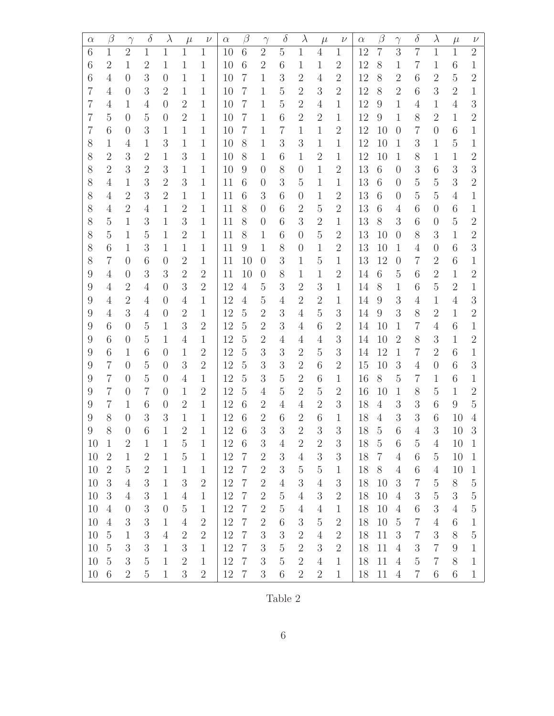| $\alpha$       | $\beta$        | $\gamma$       | $\delta$         | $\lambda$      | $\mu$          | $\nu$          | $\alpha$ | $\beta$         | $\gamma$       | $\delta$       | $\lambda$        | $\mu$          | $\nu$          | $\alpha$ | $\beta$         | $\gamma$       | $\delta$       | $\lambda$        | $\mu$           | $\nu$            |
|----------------|----------------|----------------|------------------|----------------|----------------|----------------|----------|-----------------|----------------|----------------|------------------|----------------|----------------|----------|-----------------|----------------|----------------|------------------|-----------------|------------------|
| 6              | $\mathbf{1}$   | $\overline{2}$ | $\mathbf{1}$     | $\mathbf{1}$   | $\mathbf{1}$   | $\mathbf{1}$   | 10       | 6               | $\overline{2}$ | $\overline{5}$ | $\mathbf{1}$     | $\overline{4}$ | $\mathbf{1}$   | 12       | $\overline{7}$  | 3              | $\overline{7}$ | $\mathbf{1}$     | $\mathbf{1}$    | $\overline{2}$   |
| 6              | $\overline{2}$ | $\mathbf{1}$   | $\overline{2}$   | $\mathbf{1}$   | 1              | $\mathbf{1}$   | 10       | 6               | $\overline{2}$ | 6              | $\mathbf{1}$     | $\mathbf{1}$   | $\overline{2}$ | 12       | 8               | $\mathbf{1}$   | $\overline{7}$ | 1                | 6               | 1                |
| 6              | $\overline{4}$ | $\theta$       | 3                | $\theta$       | $\mathbf{1}$   | $\mathbf{1}$   | 10       | $\overline{7}$  | $\mathbf{1}$   | 3              | $\overline{2}$   | $\overline{4}$ | $\overline{2}$ | 12       | 8               | $\overline{2}$ | 6              | $\overline{2}$   | $\overline{5}$  | $\overline{2}$   |
| $\overline{7}$ | $\overline{4}$ | $\Omega$       | $\boldsymbol{3}$ | $\overline{2}$ | $\mathbf{1}$   | 1              | 10       | $\overline{7}$  | 1              | $\mathbf 5$    | $\overline{2}$   | 3              | $\overline{2}$ | 12       | 8               | $\overline{2}$ | 6              | 3                | $\overline{2}$  | 1                |
| 7              | 4              | 1              | $\overline{4}$   | $\overline{0}$ | $\overline{2}$ | $\mathbf{1}$   | 10       | $\overline{7}$  | 1              | $\overline{5}$ | $\overline{2}$   | $\overline{4}$ | $\mathbf 1$    | 12       | 9               | $\mathbf{1}$   | 4              | $\mathbf{1}$     | $\overline{4}$  | $\boldsymbol{3}$ |
| 7              | $\overline{5}$ | $\overline{0}$ | $\bf 5$          | $\theta$       | $\overline{2}$ | $\mathbf{1}$   | 10       | $\overline{7}$  | $\mathbf{1}$   | 6              | $\overline{2}$   | $\overline{2}$ | 1              | 12       | 9               | $\mathbf{1}$   | 8              | $\overline{2}$   | $\mathbf{1}$    | $\overline{2}$   |
| $\overline{7}$ | 6              | $\theta$       | 3                | $\mathbf{1}$   | 1              | $\mathbf{1}$   | 10       | $\overline{7}$  | 1              | $\overline{7}$ | $\mathbf{1}$     | $\mathbf{1}$   | $\overline{2}$ | 12       | 10              | $\overline{0}$ | $\overline{7}$ | $\theta$         | 6               | 1                |
| 8              | $\mathbf{1}$   | 4              | 1                | 3              | $\mathbf{1}$   | $\mathbf{1}$   | 10       | 8               | 1              | 3              | 3                | 1              | 1              | 12       | 10              | 1              | 3              | $\mathbf{1}$     | $\overline{5}$  | 1                |
| 8              | $\overline{2}$ | 3              | $\mathbf{2}$     | $\mathbf{1}$   | 3              | $\mathbf{1}$   | 10       | 8               | $\mathbf{1}$   | 6              | 1                | $\overline{2}$ | 1              | 12       | 10              | $\mathbf{1}$   | 8              | 1                | $\mathbf{1}$    | $\overline{2}$   |
| 8              | $\overline{2}$ | 3              | $\overline{2}$   | 3              | $\mathbf{1}$   | $\mathbf 1$    | 10       | 9               | $\overline{0}$ | 8              | $\overline{0}$   | $\mathbf{1}$   | $\overline{2}$ | 13       | $6\phantom{.}6$ | $\overline{0}$ | 3              | 6                | 3               | $\mathfrak{Z}$   |
| 8              | $\overline{4}$ | $\mathbf{1}$   | 3                | $\overline{2}$ | 3              | $\mathbf{1}$   | 11       | 6               | $\overline{0}$ | 3              | $\overline{5}$   | $\mathbf{1}$   | 1              | 13       | $\sqrt{6}$      | $\overline{0}$ | $\overline{5}$ | $\overline{5}$   | 3               | $\overline{2}$   |
| 8              | 4              | $\overline{2}$ | 3                | $\overline{2}$ | 1              | $\mathbf{1}$   | 11       | 6               | 3              | 6              | $\overline{0}$   | 1              | $\overline{2}$ | 13       | $6\phantom{.}6$ | $\overline{0}$ | 5              | $\overline{5}$   | $\overline{4}$  | $\mathbf{1}$     |
| 8              | 4              | $\overline{2}$ | $\overline{4}$   | $\mathbf{1}$   | $\overline{2}$ | $\mathbf{1}$   | 11       | 8               | $\overline{0}$ | 6              | $\overline{2}$   | $\overline{5}$ | $\overline{2}$ | 13       | $6\phantom{.}6$ | 4              | 6              | $\theta$         | 6               | 1                |
| 8              | $\overline{5}$ | $\mathbf{1}$   | 3                | $\mathbf{1}$   | 3              | $\mathbf{1}$   | 11       | 8               | $\theta$       | 6              | 3                | $\overline{2}$ | 1              | 13       | 8               | 3              | 6              | $\theta$         | $\overline{5}$  | $\overline{2}$   |
| 8              | 5              | 1              | $\overline{5}$   | 1              | $\overline{2}$ | $\mathbf 1$    | 11       | 8               | 1              | 6              | $\theta$         | $\overline{5}$ | $\overline{2}$ | 13       | 10              | $\Omega$       | 8              | 3                | 1               | $\overline{2}$   |
| 8              | 6              | $\mathbf 1$    | 3                | $\mathbf{1}$   | $\mathbf{1}$   | $\mathbf{1}$   | 11       | 9               | $\mathbf{1}$   | 8              | $\overline{0}$   | 1              | $\overline{2}$ | 13       | 10              | $\mathbf{1}$   | $\overline{4}$ | $\theta$         | 6               | $\mathfrak{Z}$   |
| 8              | $\overline{7}$ | $\overline{0}$ | 6                | $\overline{0}$ | $\overline{2}$ | $\mathbf{1}$   | 11       | 10              | $\overline{0}$ | 3              | $\mathbf{1}$     | $\overline{5}$ | 1              | 13       | 12              | $\overline{0}$ | $\overline{7}$ | $\mathbf{2}$     | 6               | 1                |
| 9              | 4              | $\theta$       | 3                | 3              | $\overline{2}$ | $\overline{2}$ | 11       | 10              | $\theta$       | 8              | 1                | 1              | $\overline{2}$ | 14       | $6\phantom{.}6$ | $\overline{5}$ | 6              | $\mathbf{2}$     | $\mathbf{1}$    | $\overline{2}$   |
| 9              | 4              | $\overline{2}$ | $\overline{4}$   | $\theta$       | 3              | $\overline{2}$ | 12       | $\overline{4}$  | 5              | 3              | $\overline{2}$   | 3              | 1              | 14       | 8               | $\mathbf 1$    | 6              | $\overline{5}$   | $\overline{2}$  | $\mathbf{1}$     |
| 9              | 4              | $\overline{2}$ | $\overline{4}$   | $\theta$       | $\overline{4}$ | $\mathbf{1}$   | 12       | $\overline{4}$  | $\overline{5}$ | 4              | $\overline{2}$   | $\mathbf{2}$   | 1              | 14       | 9               | 3              | 4              | $\mathbf{1}$     | 4               | $\boldsymbol{3}$ |
| 9              | $\overline{4}$ | 3              | $\overline{4}$   | $\overline{0}$ | $\overline{2}$ | $\mathbf{1}$   | 12       | $\overline{5}$  | $\overline{2}$ | 3              | $\overline{4}$   | $\mathbf 5$    | $\overline{3}$ | 14       | 9               | 3              | 8              | $\overline{2}$   | $\mathbf{1}$    | $\overline{2}$   |
| 9              | 6              | $\theta$       | $\overline{5}$   | 1              | 3              | $\overline{2}$ | 12       | $\overline{5}$  | $\overline{2}$ | 3              | 4                | 6              | $\overline{2}$ | 14       | 10              | 1              | $\overline{7}$ | 4                | 6               | $\mathbf{1}$     |
| 9              | 6              | $\theta$       | $\overline{5}$   | $\mathbf{1}$   | $\overline{4}$ | $\mathbf{1}$   | 12       | $\overline{5}$  | $\overline{2}$ | $\overline{4}$ | 4                | $\overline{4}$ | $\overline{3}$ | 14       | 10              | $\overline{2}$ | 8              | $\sqrt{3}$       | 1               | $\overline{2}$   |
| 9              | 6              | 1              | 6                | $\theta$       | $\mathbf{1}$   | $\overline{2}$ | 12       | $\overline{5}$  | 3              | 3              | $\overline{2}$   | $\overline{5}$ | 3              | 14       | 12              | $\mathbf{1}$   | 7              | $\mathbf{2}$     | 6               | $\mathbf{1}$     |
| 9              | $\overline{7}$ | $\theta$       | $\overline{5}$   | $\theta$       | 3              | $\overline{2}$ | 12       | $\overline{5}$  | 3              | 3              | $\overline{2}$   | 6              | $\overline{2}$ | 15       | 10              | 3              | 4              | $\theta$         | 6               | $\sqrt{3}$       |
| 9              | $\overline{7}$ | $\theta$       | $\overline{5}$   | $\Omega$       | $\overline{4}$ | $\mathbf{1}$   | 12       | $\overline{5}$  | 3              | $\mathbf 5$    | $\sqrt{2}$       | 6              | 1              | 16       | 8               | $\overline{5}$ | 7              | 1                | 6               | $\mathbf 1$      |
| 9              | $\overline{7}$ | $\theta$       | $\overline{7}$   | $\overline{0}$ | $\mathbf{1}$   | $\overline{2}$ | 12       | $\overline{5}$  | 4              | $\overline{5}$ | $\overline{2}$   | 5              | $\overline{2}$ | 16       | 10              | $\mathbf{1}$   | 8              | $\overline{5}$   | 1               | $\overline{2}$   |
| 9              | $\overline{7}$ | $\mathbf{1}$   | 6                | $\overline{0}$ | $\overline{2}$ | $\mathbf{1}$   | 12       | 6               | $\overline{2}$ | 4              | 4                | $\overline{2}$ | 3              | 18       | $\overline{4}$  | 3              | 3              | 6                | 9               | $\overline{5}$   |
| 9              | 8              | $\theta$       | 3                | 3              | $\mathbf{1}$   | $\mathbf{1}$   | 12       | 6               | $\overline{2}$ | 6              | $\overline{2}$   | 6              | 1              | 18       | $\overline{4}$  | 3              | 3              | 6                | 10              | 4                |
| 9              | 8              | $\overline{0}$ | 6                | 1              | $\overline{2}$ | 1              | 12       | 6               | 3              | 3              | $\overline{2}$   | 3              | 3              | 18       | 5               | 6              | 4              | 3                | 10              | 3                |
| 10             | $\mathbf{1}$   | $\overline{2}$ | $\mathbf{1}$     | $\mathbf{1}$   | $\mathbf 5$    | $\mathbf{1}$   | 12       | $6\phantom{.}6$ | $\sqrt{3}$     | $\overline{4}$ | $\overline{2}$   | $\sqrt{2}$     | $\mathfrak{Z}$ | 18       | $\overline{5}$  | 6              | $\overline{5}$ | $\overline{4}$   | 10              | $\mathbf{1}$     |
| 10             | $\overline{2}$ | $\mathbf{1}$   | $\overline{2}$   | $\mathbf{1}$   | $\mathbf 5$    | $\mathbf{1}$   | 12       | $\overline{7}$  | $\overline{2}$ | $\sqrt{3}$     | $\overline{4}$   | $\sqrt{3}$     | $\overline{3}$ | 18       | $\overline{7}$  | $\overline{4}$ | 6              | $\overline{5}$   | 10              | $\mathbf{1}$     |
| 10             | $\sqrt{2}$     | $\mathbf 5$    | $\sqrt{2}$       | $\mathbf{1}$   | $\mathbf{1}$   | $\mathbf{1}$   | 12       | $\overline{7}$  | $\overline{2}$ | $\sqrt{3}$     | $\rm 5$          | $\bf 5$        | $\mathbf{1}$   | 18       | 8               | $\overline{4}$ | $\sqrt{6}$     | $\overline{4}$   | 10              | $\mathbf{1}$     |
| 10             | $\sqrt{3}$     | $\overline{4}$ | $\boldsymbol{3}$ | $\mathbf{1}$   | $\mathfrak{Z}$ | $\sqrt{2}$     | 12       | $\overline{7}$  | $\sqrt{2}$     | $\overline{4}$ | $\boldsymbol{3}$ | $\overline{4}$ | $\overline{3}$ | 18       | 10              | 3              | $\overline{7}$ | $\mathbf 5$      | $8\,$           | $\bf 5$          |
| 10             | $\mathfrak{Z}$ | $\overline{4}$ | $\boldsymbol{3}$ | $\mathbf{1}$   | $\overline{4}$ | $\mathbf{1}$   | 12       | $\overline{7}$  | $\overline{2}$ | $\bf 5$        | $\overline{4}$   | $\sqrt{3}$     | $\overline{2}$ | 18       | 10              | $\overline{4}$ | 3              | $\bf 5$          | $\mathfrak{Z}$  | $\bf 5$          |
| 10             | $\overline{4}$ | $\theta$       | $\sqrt{3}$       | $\overline{0}$ | $\overline{5}$ | $\mathbf{1}$   | 12       | $\overline{7}$  | $\overline{2}$ | $\mathbf 5$    | $\overline{4}$   | $\overline{4}$ | $\mathbf{1}$   | 18       | 10              | $\overline{4}$ | $\sqrt{6}$     | $\boldsymbol{3}$ | $\overline{4}$  | $\mathbf 5$      |
| 10             | $\overline{4}$ | 3              | $\sqrt{3}$       | $\mathbf{1}$   | $\overline{4}$ | $\overline{2}$ | 12       | $\overline{7}$  | $\sqrt{2}$     | $6\,$          | $\boldsymbol{3}$ | $\bf 5$        | $\overline{2}$ | 18       | $10\,$          | $\overline{5}$ | $\overline{7}$ | $\overline{4}$   | $6\phantom{.}6$ | $\mathbf{1}$     |
| $10\,$         | $\bf 5$        | $\mathbf{1}$   | $\sqrt{3}$       | $\sqrt{4}$     | $\overline{2}$ | $\sqrt{2}$     | 12       | $\overline{7}$  | 3              | $\sqrt{3}$     | $\sqrt{2}$       | $\overline{4}$ | $\overline{2}$ | 18       | 11              | $\mathfrak{Z}$ | $\overline{7}$ | $\sqrt{3}$       | 8               | $\mathbf 5$      |
| 10             | $\overline{5}$ | $\mathfrak{Z}$ | $\mathfrak{Z}$   | $\mathbf{1}$   | 3              | $\mathbf{1}$   | 12       | $\overline{7}$  | 3              | $\mathbf 5$    | $\overline{2}$   | $\sqrt{3}$     | $\overline{2}$ | 18       | 11              | $\overline{4}$ | $\sqrt{3}$     | $\overline{7}$   | 9               | $\mathbf{1}$     |
| 10             | $\mathbf 5$    | 3              | $\bf 5$          | $\mathbf{1}$   | $\overline{2}$ | $\mathbf{1}$   | 12       | $\overline{7}$  | 3              | $\overline{5}$ | $\overline{2}$   | $\overline{4}$ | $\mathbf{1}$   | 18       | 11              | $\overline{4}$ | $\mathbf 5$    | $\overline{7}$   | 8               | $\mathbf{1}$     |
| 10             | 6              | $\overline{2}$ | $\overline{5}$   | $\mathbf{1}$   | 3              | $\overline{2}$ | 12       | $\overline{7}$  | 3              | 6              | $\overline{2}$   | $\sqrt{2}$     | $\mathbf{1}$   | 18       | 11              | $\overline{4}$ | $\overline{7}$ | 6                | 6               | $\mathbf{1}$     |

Table 2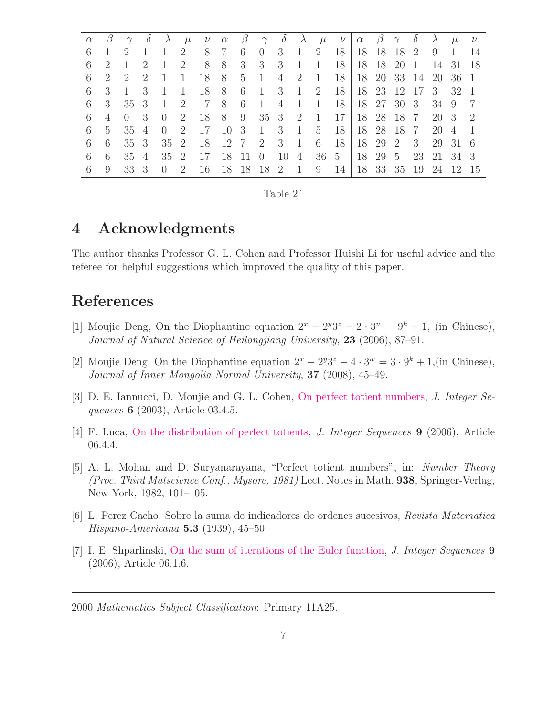|                |                | $\gamma$       | $\theta$       | $\lambda$      |                | $\mu \quad \nu \mid \alpha$                                                          |                          | $\beta$ |                |                   |                |                | $\gamma$ $\delta$ $\lambda$ $\mu$ $\nu$   $\alpha$ $\beta$ |  | $\gamma$ $\delta$    | $\lambda$ | $\mu$ | $\nu$ |
|----------------|----------------|----------------|----------------|----------------|----------------|--------------------------------------------------------------------------------------|--------------------------|---------|----------------|-------------------|----------------|----------------|------------------------------------------------------------|--|----------------------|-----------|-------|-------|
| 6              |                | 2              | $\overline{1}$ |                |                | 2 18 7 6 0 3 1 2 18 18 18 18 2 9 1                                                   |                          |         |                |                   |                |                |                                                            |  |                      |           |       | - 14  |
| 6              | $\overline{2}$ | 1              | -2             | $\overline{1}$ | $\overline{2}$ | 18                                                                                   |                          |         | 8 3 3 3        |                   | <sup>1</sup>   | $\overline{1}$ | <b>18</b>                                                  |  | 18 18 20 1           | 14 31 18  |       |       |
| 6              | 2              | $\overline{2}$ | $\overline{2}$ | $\overline{1}$ | -1             | $18$ $^{\circ}$                                                                      | 8 5 1                    |         |                | $4\quad 2\quad 1$ |                |                | <b>18</b>                                                  |  | 18 20 33 14 20 36 1  |           |       |       |
| 6 3            |                | $\overline{1}$ | -3             | $\mathbf{1}$   | $\overline{1}$ |                                                                                      | $18 \t 8 \t 6 \t 1 \t 3$ |         |                |                   |                |                | 1 2 18 18 23 12 17 3 32 1                                  |  |                      |           |       |       |
| 6 <sup>1</sup> | 3              | 35 3           |                | -1             | 2              | $17 \t 8 \t 6$                                                                       |                          |         | $\overline{1}$ | $\overline{4}$    | $\overline{1}$ | 1              | 18                                                         |  | 18 27 30 3 34 9      |           |       | - 7   |
| 6              | $\overline{4}$ | $0 \quad 3$    |                |                |                | $0 \quad 2 \quad 18 \quad 8 \quad 9 \quad 35 \quad 3 \quad 2 \quad 1 \quad 17 \quad$ |                          |         |                |                   |                |                |                                                            |  | 18 28 18 7 20 3 2    |           |       |       |
| 6              | $5^{\circ}$    | 35 4           |                | $0 \quad 2$    |                | $17 \mid 10 \mid 3 \mid 1 \mid 3$                                                    |                          |         |                |                   | $\overline{1}$ |                | 5 18 18 28 18 7 20 4                                       |  |                      |           |       |       |
| 6              | 6              | 35 3           |                |                |                | 35 2 18 12 7 2 3 1 6 18 18 29 2 3 29 31 6                                            |                          |         |                |                   |                |                |                                                            |  |                      |           |       |       |
| 6              | 6              | 35 4           |                |                |                | 35 2 17                                                                              |                          |         |                |                   |                |                | 18 11 0 10 4 36 5                                          |  | 18 29 5 23 21 34 3   |           |       |       |
| 6              | 9              | 33 3           |                | $0 \quad 2$    |                | 16   18 18 18 2 1 9 14                                                               |                          |         |                |                   |                |                |                                                            |  | 18 33 35 19 24 12 15 |           |       |       |

| Table |  |
|-------|--|
|-------|--|

# 4 Acknowledgments

The author thanks Professor G. L. Cohen and Professor Huishi Li for useful advice and the referee for helpful suggestions which improved the quality of this paper.

# <span id="page-6-3"></span>References

- [1] Moujie Deng, On the Diophantine equation  $2^x 2^y 3^z 2 \cdot 3^u = 9^k + 1$ , (in Chinese), Journal of Natural Science of Heilongjiang University, 23 (2006), 87–91.
- <span id="page-6-4"></span>[2] Moujie Deng, On the Diophantine equation  $2^x - 2^y 3^z - 4 \cdot 3^w = 3 \cdot 9^k + 1$ , (in Chinese), Journal of Inner Mongolia Normal University, 37 (2008), 45–49.
- <span id="page-6-6"></span><span id="page-6-2"></span>[3] D. E. Iannucci, D. Moujie and G. L. Cohen, [On perfect totient numbers,](http://www.cs.uwaterloo.ca/journals/JIS/VOL6/Cohen2/cohen50.html) J. Integer Sequences 6 (2003), Article 03.4.5.
- <span id="page-6-1"></span>[4] F. Luca, [On the distribution of perfect totients,](http://www.cs.uwaterloo.ca/journals/JIS/VOL9/Luca/luca66.html) J. Integer Sequences 9 (2006), Article 06.4.4.
- [5] A. L. Mohan and D. Suryanarayana, "Perfect totient numbers", in: Number Theory (Proc. Third Matscience Conf., Mysore, 1981) Lect. Notes in Math. 938, Springer-Verlag, New York, 1982, 101–105.
- <span id="page-6-0"></span>[6] L. Perez Cacho, Sobre la suma de indicadores de ordenes sucesivos, Revista Matematica *Hispano-Americana* **5.3** (1939), 45–50.
- <span id="page-6-5"></span>[7] I. E. Shparlinski, [On the sum of iterations of the Euler function,](http://www.cs.uwaterloo.ca/journals/JIS/VOL9/Shparlinski/shpar43.html) J. Integer Sequences 9 (2006), Article 06.1.6.

2000 Mathematics Subject Classification: Primary 11A25.